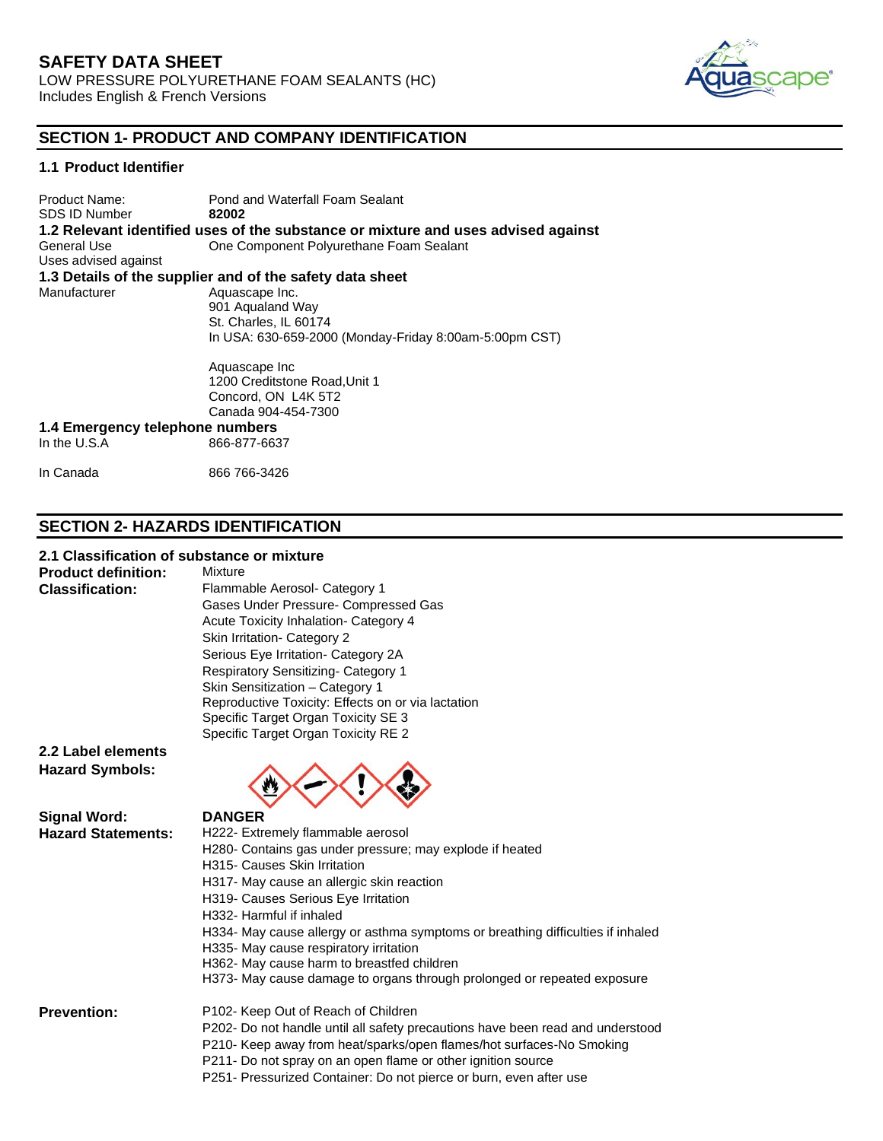

# **SECTION 1- PRODUCT AND COMPANY IDENTIFICATION**

## **1.1 Product Identifier**

Product Name: Pond and Waterfall Foam Sealant<br>
SDS ID Number **82002 SDS ID Number 1.2 Relevant identified uses of the substance or mixture and uses advised against** General Use One Component Polyurethane Foam Sealant Uses advised against **1.3 Details of the supplier and of the safety data sheet** Manufacturer Aquascape Inc. 901 Aqualand Way St. Charles, IL 60174 In USA: 630-659-2000 (Monday-Friday 8:00am-5:00pm CST)

> Aquascape Inc 1200 Creditstone Road,Unit 1 Concord, ON L4K 5T2 Canada 904-454-7300

#### **1.4 Emergency telephone numbers** 866-877-6637

In Canada 866 766-3426

# **SECTION 2- HAZARDS IDENTIFICATION**

### **2.1 Classification of substance or mixture**

**Product definition:** Mixture

**Classification:** Flammable Aerosol- Category 1 Gases Under Pressure- Compressed Gas Acute Toxicity Inhalation- Category 4 Skin Irritation- Category 2 Serious Eye Irritation- Category 2A Respiratory Sensitizing- Category 1 Skin Sensitization – Category 1 Reproductive Toxicity: Effects on or via lactation Specific Target Organ Toxicity SE 3 Specific Target Organ Toxicity RE 2

**2.2 Label elements Hazard Symbols:**

# **Signal Word: DANGER**



**Hazard Statements:** H222- Extremely flammable aerosol H280- Contains gas under pressure; may explode if heated H315- Causes Skin Irritation H317- May cause an allergic skin reaction H319- Causes Serious Eye Irritation H332- Harmful if inhaled H334- May cause allergy or asthma symptoms or breathing difficulties if inhaled H335- May cause respiratory irritation H362- May cause harm to breastfed children H373- May cause damage to organs through prolonged or repeated exposure **Prevention:** P102- Keep Out of Reach of Children P202- Do not handle until all safety precautions have been read and understood P210- Keep away from heat/sparks/open flames/hot surfaces-No Smoking

- P211- Do not spray on an open flame or other ignition source
- P251- Pressurized Container: Do not pierce or burn, even after use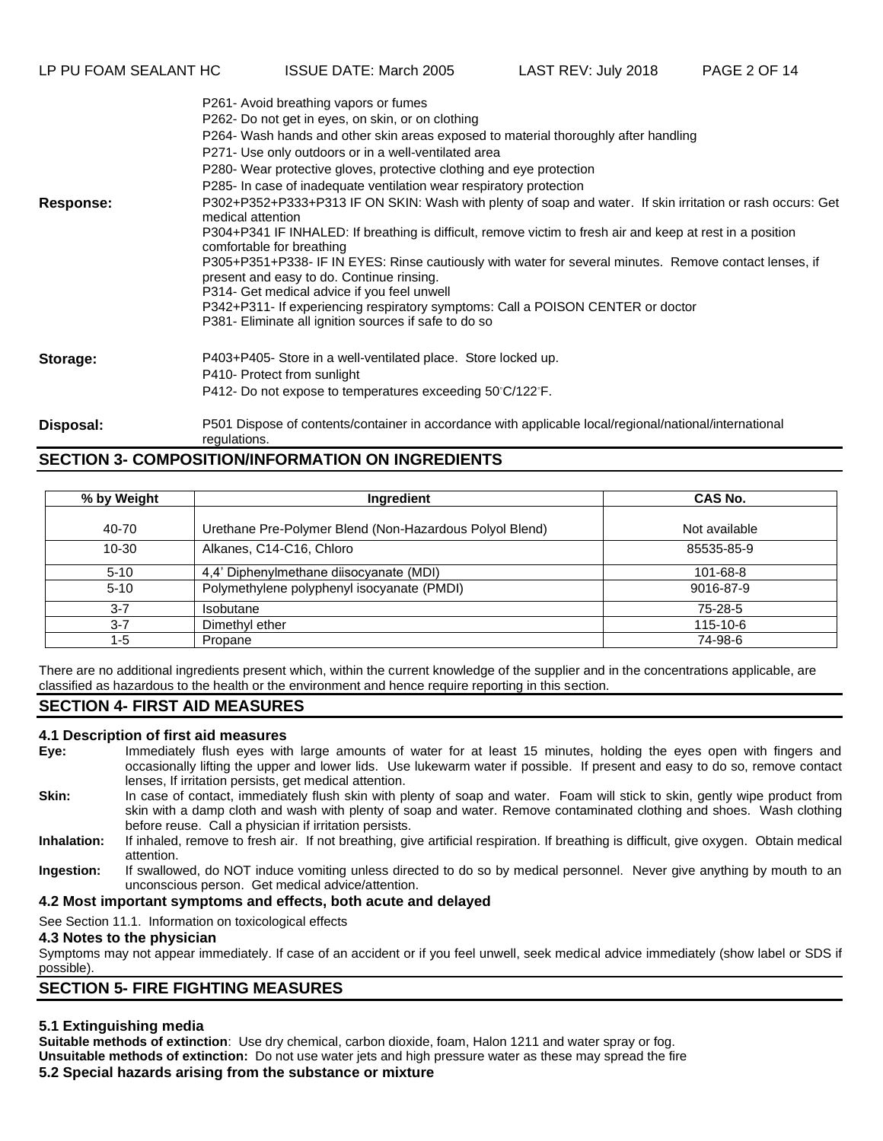P261- Avoid breathing vapors or fumes

|           | $\frac{1}{2}$ 201- Avoid breathing vapois of furnes                                                                                                 |
|-----------|-----------------------------------------------------------------------------------------------------------------------------------------------------|
|           | P262- Do not get in eyes, on skin, or on clothing                                                                                                   |
|           | P264- Wash hands and other skin areas exposed to material thoroughly after handling                                                                 |
|           | P271- Use only outdoors or in a well-ventilated area                                                                                                |
|           | P280- Wear protective gloves, protective clothing and eye protection                                                                                |
|           | P285- In case of inadequate ventilation wear respiratory protection                                                                                 |
| Response: | P302+P352+P333+P313 IF ON SKIN: Wash with plenty of soap and water. If skin irritation or rash occurs: Get<br>medical attention                     |
|           | P304+P341 IF INHALED: If breathing is difficult, remove victim to fresh air and keep at rest in a position<br>comfortable for breathing             |
|           | P305+P351+P338- IF IN EYES: Rinse cautiously with water for several minutes. Remove contact lenses, if<br>present and easy to do. Continue rinsing. |
|           | P314- Get medical advice if you feel unwell                                                                                                         |
|           | P342+P311- If experiencing respiratory symptoms: Call a POISON CENTER or doctor                                                                     |
|           | P381- Eliminate all ignition sources if safe to do so                                                                                               |
| Storage:  | P403+P405- Store in a well-ventilated place. Store locked up.                                                                                       |
|           | P410- Protect from sunlight                                                                                                                         |
|           | P412- Do not expose to temperatures exceeding 50°C/122°F.                                                                                           |
| Disposal: | P501 Dispose of contents/container in accordance with applicable local/regional/national/international<br>regulations.                              |

# **SECTION 3- COMPOSITION/INFORMATION ON INGREDIENTS**

| % by Weight | Ingredient                                              | CAS No.       |
|-------------|---------------------------------------------------------|---------------|
| 40-70       | Urethane Pre-Polymer Blend (Non-Hazardous Polyol Blend) | Not available |
| $10 - 30$   | Alkanes, C14-C16, Chloro                                | 85535-85-9    |
| $5 - 10$    | 4,4' Diphenylmethane diisocyanate (MDI)                 | 101-68-8      |
| $5 - 10$    | Polymethylene polyphenyl isocyanate (PMDI)              | 9016-87-9     |
| $3 - 7$     | Isobutane                                               | 75-28-5       |
| $3 - 7$     | Dimethyl ether                                          | 115-10-6      |
| 1-5         | Propane                                                 | 74-98-6       |

There are no additional ingredients present which, within the current knowledge of the supplier and in the concentrations applicable, are classified as hazardous to the health or the environment and hence require reporting in this section.

# **SECTION 4- FIRST AID MEASURES**

### **4.1 Description of first aid measures**

- **Eye:** Immediately flush eyes with large amounts of water for at least 15 minutes, holding the eyes open with fingers and occasionally lifting the upper and lower lids. Use lukewarm water if possible. If present and easy to do so, remove contact lenses, If irritation persists, get medical attention.
- **Skin:** In case of contact, immediately flush skin with plenty of soap and water. Foam will stick to skin, gently wipe product from skin with a damp cloth and wash with plenty of soap and water. Remove contaminated clothing and shoes. Wash clothing before reuse. Call a physician if irritation persists.
- **Inhalation:** If inhaled, remove to fresh air. If not breathing, give artificial respiration. If breathing is difficult, give oxygen. Obtain medical attention.
- **Ingestion:** If swallowed, do NOT induce vomiting unless directed to do so by medical personnel. Never give anything by mouth to an unconscious person. Get medical advice/attention.

### **4.2 Most important symptoms and effects, both acute and delayed**

See Section 11.1. Information on toxicological effects

#### **4.3 Notes to the physician**

Symptoms may not appear immediately. If case of an accident or if you feel unwell, seek medical advice immediately (show label or SDS if possible).

# **SECTION 5- FIRE FIGHTING MEASURES**

# **5.1 Extinguishing media**

**Suitable methods of extinction**: Use dry chemical, carbon dioxide, foam, Halon 1211 and water spray or fog. **Unsuitable methods of extinction:** Do not use water jets and high pressure water as these may spread the fire **5.2 Special hazards arising from the substance or mixture**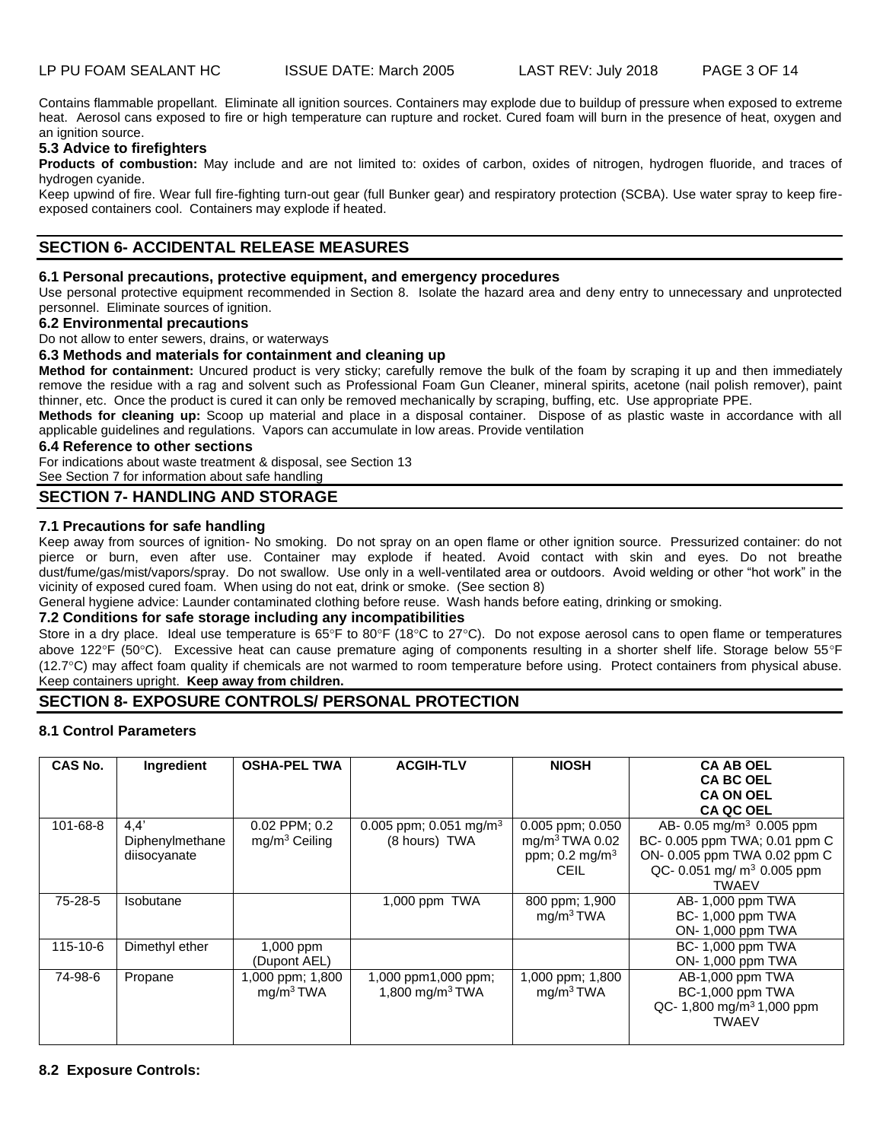Contains flammable propellant. Eliminate all ignition sources. Containers may explode due to buildup of pressure when exposed to extreme heat. Aerosol cans exposed to fire or high temperature can rupture and rocket. Cured foam will burn in the presence of heat, oxygen and an ignition source.

## **5.3 Advice to firefighters**

**Products of combustion:** May include and are not limited to: oxides of carbon, oxides of nitrogen, hydrogen fluoride, and traces of hydrogen cyanide.

Keep upwind of fire. Wear full fire-fighting turn-out gear (full Bunker gear) and respiratory protection (SCBA). Use water spray to keep fireexposed containers cool. Containers may explode if heated.

# **SECTION 6- ACCIDENTAL RELEASE MEASURES**

#### **6.1 Personal precautions, protective equipment, and emergency procedures**

Use personal protective equipment recommended in Section 8. Isolate the hazard area and deny entry to unnecessary and unprotected personnel. Eliminate sources of ignition.

#### **6.2 Environmental precautions**

Do not allow to enter sewers, drains, or waterways

#### **6.3 Methods and materials for containment and cleaning up**

**Method for containment:** Uncured product is very sticky; carefully remove the bulk of the foam by scraping it up and then immediately remove the residue with a rag and solvent such as Professional Foam Gun Cleaner, mineral spirits, acetone (nail polish remover), paint thinner, etc. Once the product is cured it can only be removed mechanically by scraping, buffing, etc. Use appropriate PPE.

**Methods for cleaning up:** Scoop up material and place in a disposal container. Dispose of as plastic waste in accordance with all applicable guidelines and regulations. Vapors can accumulate in low areas. Provide ventilation

#### **6.4 Reference to other sections**

For indications about waste treatment & disposal, see Section 13

See Section 7 for information about safe handling

# **SECTION 7- HANDLING AND STORAGE**

### **7.1 Precautions for safe handling**

Keep away from sources of ignition- No smoking. Do not spray on an open flame or other ignition source. Pressurized container: do not pierce or burn, even after use. Container may explode if heated. Avoid contact with skin and eyes. Do not breathe dust/fume/gas/mist/vapors/spray. Do not swallow. Use only in a well-ventilated area or outdoors. Avoid welding or other "hot work" in the vicinity of exposed cured foam. When using do not eat, drink or smoke. (See section 8)

General hygiene advice: Launder contaminated clothing before reuse. Wash hands before eating, drinking or smoking.

#### **7.2 Conditions for safe storage including any incompatibilities**

Store in a dry place. Ideal use temperature is 65°F to 80°F (18°C to 27°C). Do not expose aerosol cans to open flame or temperatures above 122°F (50°C). Excessive heat can cause premature aging of components resulting in a shorter shelf life. Storage below 55°F (12.7C) may affect foam quality if chemicals are not warmed to room temperature before using. Protect containers from physical abuse. Keep containers upright. **Keep away from children.**

# **SECTION 8- EXPOSURE CONTROLS/ PERSONAL PROTECTION**

## **8.1 Control Parameters**

| CAS No.        | Ingredient      | <b>OSHA-PEL TWA</b>   | <b>ACGIH-TLV</b>                   | <b>NIOSH</b>              | <b>CA AB OEL</b>                      |
|----------------|-----------------|-----------------------|------------------------------------|---------------------------|---------------------------------------|
|                |                 |                       |                                    |                           | <b>CA BC OEL</b>                      |
|                |                 |                       |                                    |                           | <b>CA ON OEL</b>                      |
|                |                 |                       |                                    |                           | <b>CA QC OEL</b>                      |
| 101-68-8       | 4.4'            | 0.02 PPM; 0.2         | 0.005 ppm; 0.051 mg/m <sup>3</sup> | 0.005 ppm; 0.050          | AB- 0.05 mg/m <sup>3</sup> 0.005 ppm  |
|                | Diphenylmethane | $mg/m3$ Ceiling       | (8 hours) TWA                      | $mg/m3 TWA$ 0.02          | BC- 0.005 ppm TWA; 0.01 ppm C         |
|                | diisocyanate    |                       |                                    | ppm; $0.2 \text{ mg/m}^3$ | ON- 0.005 ppm TWA 0.02 ppm C          |
|                |                 |                       |                                    | <b>CEIL</b>               | QC- 0.051 mg/ $m^3$ 0.005 ppm         |
|                |                 |                       |                                    |                           | <b>TWAEV</b>                          |
| 75-28-5        | Isobutane       |                       | 1,000 ppm $TWA$                    | 800 ppm; 1,900            | AB-1,000 ppm TWA                      |
|                |                 |                       |                                    | mg/m <sup>3</sup> TWA     | BC-1,000 ppm TWA                      |
|                |                 |                       |                                    |                           | ON-1,000 ppm TWA                      |
| $115 - 10 - 6$ | Dimethyl ether  | 1,000 ppm             |                                    |                           | BC-1,000 ppm TWA                      |
|                |                 | (Dupont AEL)          |                                    |                           | ON- 1,000 ppm TWA                     |
| 74-98-6        | Propane         | 1,000 ppm; 1,800      | 1,000 ppm1,000 ppm;                | 1,000 ppm; 1,800          | AB-1,000 ppm TWA                      |
|                |                 | mg/m <sup>3</sup> TWA | 1,800 mg/m <sup>3</sup> TWA        | mg/m <sup>3</sup> TWA     | BC-1,000 ppm TWA                      |
|                |                 |                       |                                    |                           | QC- 1,800 mg/m <sup>3</sup> 1,000 ppm |
|                |                 |                       |                                    |                           | <b>TWAEV</b>                          |
|                |                 |                       |                                    |                           |                                       |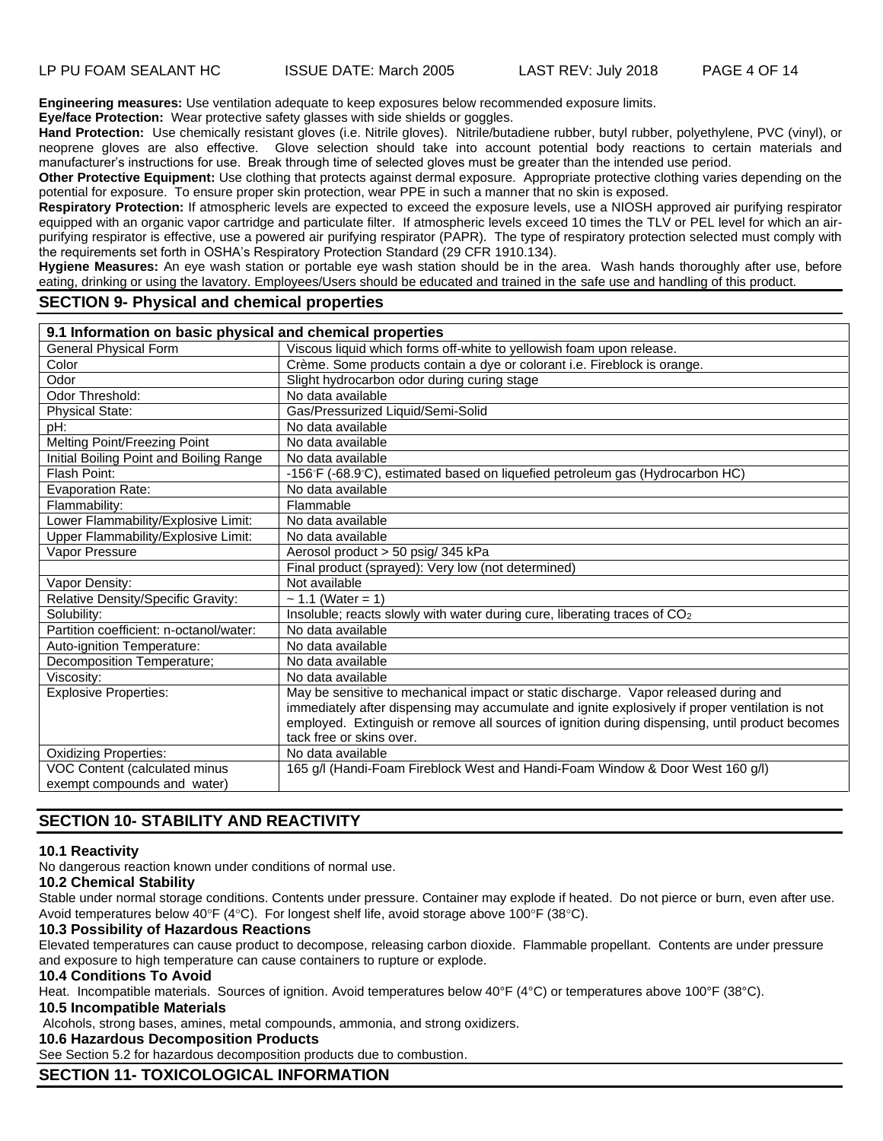**Engineering measures:** Use ventilation adequate to keep exposures below recommended exposure limits.

**Eye/face Protection:** Wear protective safety glasses with side shields or goggles.

**Hand Protection:** Use chemically resistant gloves (i.e. Nitrile gloves). Nitrile/butadiene rubber, butyl rubber, polyethylene, PVC (vinyl), or neoprene gloves are also effective. Glove selection should take into account potential body reactions to certain materials and manufacturer's instructions for use. Break through time of selected gloves must be greater than the intended use period.

**Other Protective Equipment:** Use clothing that protects against dermal exposure. Appropriate protective clothing varies depending on the potential for exposure. To ensure proper skin protection, wear PPE in such a manner that no skin is exposed.

**Respiratory Protection:** If atmospheric levels are expected to exceed the exposure levels, use a NIOSH approved air purifying respirator equipped with an organic vapor cartridge and particulate filter. If atmospheric levels exceed 10 times the TLV or PEL level for which an airpurifying respirator is effective, use a powered air purifying respirator (PAPR). The type of respiratory protection selected must comply with the requirements set forth in OSHA's Respiratory Protection Standard (29 CFR 1910.134).

**Hygiene Measures:** An eye wash station or portable eye wash station should be in the area. Wash hands thoroughly after use, before eating, drinking or using the lavatory. Employees/Users should be educated and trained in the safe use and handling of this product.

# **SECTION 9- Physical and chemical properties**

| <b>General Physical Form</b><br>Viscous liquid which forms off-white to yellowish foam upon release.<br>Crème. Some products contain a dye or colorant i.e. Fireblock is orange.<br>Color<br>Odor<br>Slight hydrocarbon odor during curing stage<br>No data available<br>Odor Threshold:<br>Gas/Pressurized Liquid/Semi-Solid<br><b>Physical State:</b><br>pH:<br>No data available<br>Melting Point/Freezing Point<br>No data available<br>Initial Boiling Point and Boiling Range<br>No data available<br>Flash Point:<br>-156°F (-68.9°C), estimated based on liquefied petroleum gas (Hydrocarbon HC)<br><b>Evaporation Rate:</b><br>No data available<br>Flammability:<br>Flammable<br>Lower Flammability/Explosive Limit:<br>No data available<br>Upper Flammability/Explosive Limit:<br>No data available<br>Aerosol product > 50 psig/ 345 kPa<br><b>Vapor Pressure</b><br>Final product (sprayed): Very low (not determined)<br>Not available<br>Vapor Density:<br>Relative Density/Specific Gravity:<br>~ 1.1 (Water = 1)<br>Insoluble; reacts slowly with water during cure, liberating traces of CO <sub>2</sub><br>Solubility:<br>Partition coefficient: n-octanol/water:<br>No data available<br>Auto-ignition Temperature:<br>No data available<br>Decomposition Temperature;<br>No data available<br>Viscosity:<br>No data available<br>May be sensitive to mechanical impact or static discharge. Vapor released during and<br><b>Explosive Properties:</b><br>immediately after dispensing may accumulate and ignite explosively if proper ventilation is not<br>employed. Extinguish or remove all sources of ignition during dispensing, until product becomes<br>tack free or skins over. | 9.1 Information on basic physical and chemical properties |  |
|----------------------------------------------------------------------------------------------------------------------------------------------------------------------------------------------------------------------------------------------------------------------------------------------------------------------------------------------------------------------------------------------------------------------------------------------------------------------------------------------------------------------------------------------------------------------------------------------------------------------------------------------------------------------------------------------------------------------------------------------------------------------------------------------------------------------------------------------------------------------------------------------------------------------------------------------------------------------------------------------------------------------------------------------------------------------------------------------------------------------------------------------------------------------------------------------------------------------------------------------------------------------------------------------------------------------------------------------------------------------------------------------------------------------------------------------------------------------------------------------------------------------------------------------------------------------------------------------------------------------------------------------------------------------------------------------------------------|-----------------------------------------------------------|--|
|                                                                                                                                                                                                                                                                                                                                                                                                                                                                                                                                                                                                                                                                                                                                                                                                                                                                                                                                                                                                                                                                                                                                                                                                                                                                                                                                                                                                                                                                                                                                                                                                                                                                                                                |                                                           |  |
|                                                                                                                                                                                                                                                                                                                                                                                                                                                                                                                                                                                                                                                                                                                                                                                                                                                                                                                                                                                                                                                                                                                                                                                                                                                                                                                                                                                                                                                                                                                                                                                                                                                                                                                |                                                           |  |
|                                                                                                                                                                                                                                                                                                                                                                                                                                                                                                                                                                                                                                                                                                                                                                                                                                                                                                                                                                                                                                                                                                                                                                                                                                                                                                                                                                                                                                                                                                                                                                                                                                                                                                                |                                                           |  |
|                                                                                                                                                                                                                                                                                                                                                                                                                                                                                                                                                                                                                                                                                                                                                                                                                                                                                                                                                                                                                                                                                                                                                                                                                                                                                                                                                                                                                                                                                                                                                                                                                                                                                                                |                                                           |  |
|                                                                                                                                                                                                                                                                                                                                                                                                                                                                                                                                                                                                                                                                                                                                                                                                                                                                                                                                                                                                                                                                                                                                                                                                                                                                                                                                                                                                                                                                                                                                                                                                                                                                                                                |                                                           |  |
|                                                                                                                                                                                                                                                                                                                                                                                                                                                                                                                                                                                                                                                                                                                                                                                                                                                                                                                                                                                                                                                                                                                                                                                                                                                                                                                                                                                                                                                                                                                                                                                                                                                                                                                |                                                           |  |
|                                                                                                                                                                                                                                                                                                                                                                                                                                                                                                                                                                                                                                                                                                                                                                                                                                                                                                                                                                                                                                                                                                                                                                                                                                                                                                                                                                                                                                                                                                                                                                                                                                                                                                                |                                                           |  |
|                                                                                                                                                                                                                                                                                                                                                                                                                                                                                                                                                                                                                                                                                                                                                                                                                                                                                                                                                                                                                                                                                                                                                                                                                                                                                                                                                                                                                                                                                                                                                                                                                                                                                                                |                                                           |  |
|                                                                                                                                                                                                                                                                                                                                                                                                                                                                                                                                                                                                                                                                                                                                                                                                                                                                                                                                                                                                                                                                                                                                                                                                                                                                                                                                                                                                                                                                                                                                                                                                                                                                                                                |                                                           |  |
|                                                                                                                                                                                                                                                                                                                                                                                                                                                                                                                                                                                                                                                                                                                                                                                                                                                                                                                                                                                                                                                                                                                                                                                                                                                                                                                                                                                                                                                                                                                                                                                                                                                                                                                |                                                           |  |
|                                                                                                                                                                                                                                                                                                                                                                                                                                                                                                                                                                                                                                                                                                                                                                                                                                                                                                                                                                                                                                                                                                                                                                                                                                                                                                                                                                                                                                                                                                                                                                                                                                                                                                                |                                                           |  |
|                                                                                                                                                                                                                                                                                                                                                                                                                                                                                                                                                                                                                                                                                                                                                                                                                                                                                                                                                                                                                                                                                                                                                                                                                                                                                                                                                                                                                                                                                                                                                                                                                                                                                                                |                                                           |  |
|                                                                                                                                                                                                                                                                                                                                                                                                                                                                                                                                                                                                                                                                                                                                                                                                                                                                                                                                                                                                                                                                                                                                                                                                                                                                                                                                                                                                                                                                                                                                                                                                                                                                                                                |                                                           |  |
|                                                                                                                                                                                                                                                                                                                                                                                                                                                                                                                                                                                                                                                                                                                                                                                                                                                                                                                                                                                                                                                                                                                                                                                                                                                                                                                                                                                                                                                                                                                                                                                                                                                                                                                |                                                           |  |
|                                                                                                                                                                                                                                                                                                                                                                                                                                                                                                                                                                                                                                                                                                                                                                                                                                                                                                                                                                                                                                                                                                                                                                                                                                                                                                                                                                                                                                                                                                                                                                                                                                                                                                                |                                                           |  |
|                                                                                                                                                                                                                                                                                                                                                                                                                                                                                                                                                                                                                                                                                                                                                                                                                                                                                                                                                                                                                                                                                                                                                                                                                                                                                                                                                                                                                                                                                                                                                                                                                                                                                                                |                                                           |  |
|                                                                                                                                                                                                                                                                                                                                                                                                                                                                                                                                                                                                                                                                                                                                                                                                                                                                                                                                                                                                                                                                                                                                                                                                                                                                                                                                                                                                                                                                                                                                                                                                                                                                                                                |                                                           |  |
|                                                                                                                                                                                                                                                                                                                                                                                                                                                                                                                                                                                                                                                                                                                                                                                                                                                                                                                                                                                                                                                                                                                                                                                                                                                                                                                                                                                                                                                                                                                                                                                                                                                                                                                |                                                           |  |
|                                                                                                                                                                                                                                                                                                                                                                                                                                                                                                                                                                                                                                                                                                                                                                                                                                                                                                                                                                                                                                                                                                                                                                                                                                                                                                                                                                                                                                                                                                                                                                                                                                                                                                                |                                                           |  |
|                                                                                                                                                                                                                                                                                                                                                                                                                                                                                                                                                                                                                                                                                                                                                                                                                                                                                                                                                                                                                                                                                                                                                                                                                                                                                                                                                                                                                                                                                                                                                                                                                                                                                                                |                                                           |  |
|                                                                                                                                                                                                                                                                                                                                                                                                                                                                                                                                                                                                                                                                                                                                                                                                                                                                                                                                                                                                                                                                                                                                                                                                                                                                                                                                                                                                                                                                                                                                                                                                                                                                                                                |                                                           |  |
|                                                                                                                                                                                                                                                                                                                                                                                                                                                                                                                                                                                                                                                                                                                                                                                                                                                                                                                                                                                                                                                                                                                                                                                                                                                                                                                                                                                                                                                                                                                                                                                                                                                                                                                |                                                           |  |
|                                                                                                                                                                                                                                                                                                                                                                                                                                                                                                                                                                                                                                                                                                                                                                                                                                                                                                                                                                                                                                                                                                                                                                                                                                                                                                                                                                                                                                                                                                                                                                                                                                                                                                                |                                                           |  |
| <b>Oxidizing Properties:</b><br>No data available                                                                                                                                                                                                                                                                                                                                                                                                                                                                                                                                                                                                                                                                                                                                                                                                                                                                                                                                                                                                                                                                                                                                                                                                                                                                                                                                                                                                                                                                                                                                                                                                                                                              |                                                           |  |
| VOC Content (calculated minus<br>165 g/l (Handi-Foam Fireblock West and Handi-Foam Window & Door West 160 g/l)<br>exempt compounds and water)                                                                                                                                                                                                                                                                                                                                                                                                                                                                                                                                                                                                                                                                                                                                                                                                                                                                                                                                                                                                                                                                                                                                                                                                                                                                                                                                                                                                                                                                                                                                                                  |                                                           |  |

# **SECTION 10- STABILITY AND REACTIVITY**

#### **10.1 Reactivity**

No dangerous reaction known under conditions of normal use.

#### **10.2 Chemical Stability**

Stable under normal storage conditions. Contents under pressure. Container may explode if heated. Do not pierce or burn, even after use. Avoid temperatures below 40°F (4°C). For longest shelf life, avoid storage above 100°F (38°C).

#### **10.3 Possibility of Hazardous Reactions**

Elevated temperatures can cause product to decompose, releasing carbon dioxide. Flammable propellant. Contents are under pressure and exposure to high temperature can cause containers to rupture or explode.

#### **10.4 Conditions To Avoid**

Heat. Incompatible materials. Sources of ignition. Avoid temperatures below 40°F (4°C) or temperatures above 100°F (38°C).

# **10.5 Incompatible Materials**

Alcohols, strong bases, amines, metal compounds, ammonia, and strong oxidizers.

**10.6 Hazardous Decomposition Products**

See Section 5.2 for hazardous decomposition products due to combustion.

# **SECTION 11- TOXICOLOGICAL INFORMATION**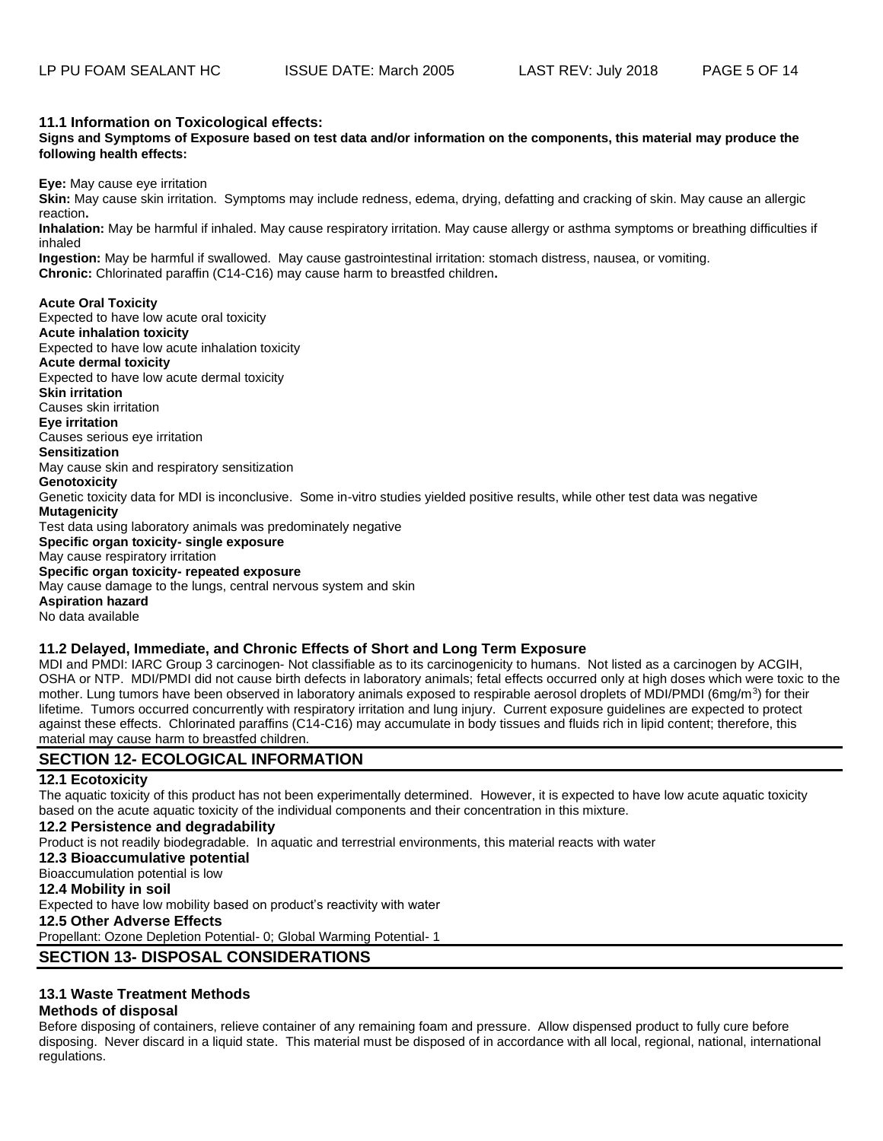#### **11.1 Information on Toxicological effects:**

**Signs and Symptoms of Exposure based on test data and/or information on the components, this material may produce the following health effects:** 

**Eye:** May cause eye irritation

**Skin:** May cause skin irritation. Symptoms may include redness, edema, drying, defatting and cracking of skin. May cause an allergic reaction**.** 

**Inhalation:** May be harmful if inhaled. May cause respiratory irritation. May cause allergy or asthma symptoms or breathing difficulties if inhaled

**Ingestion:** May be harmful if swallowed. May cause gastrointestinal irritation: stomach distress, nausea, or vomiting. **Chronic:** Chlorinated paraffin (C14-C16) may cause harm to breastfed children**.** 

#### **Acute Oral Toxicity**

Expected to have low acute oral toxicity **Acute inhalation toxicity** Expected to have low acute inhalation toxicity **Acute dermal toxicity** Expected to have low acute dermal toxicity **Skin irritation** Causes skin irritation **Eye irritation** Causes serious eye irritation **Sensitization** May cause skin and respiratory sensitization **Genotoxicity** Genetic toxicity data for MDI is inconclusive. Some in-vitro studies yielded positive results, while other test data was negative **Mutagenicity** Test data using laboratory animals was predominately negative **Specific organ toxicity- single exposure** May cause respiratory irritation **Specific organ toxicity- repeated exposure** May cause damage to the lungs, central nervous system and skin **Aspiration hazard**

No data available

#### **11.2 Delayed, Immediate, and Chronic Effects of Short and Long Term Exposure**

MDI and PMDI: IARC Group 3 carcinogen- Not classifiable as to its carcinogenicity to humans. Not listed as a carcinogen by ACGIH, OSHA or NTP. MDI/PMDI did not cause birth defects in laboratory animals; fetal effects occurred only at high doses which were toxic to the mother. Lung tumors have been observed in laboratory animals exposed to respirable aerosol droplets of MDI/PMDI (6mg/m<sup>3</sup>) for their lifetime. Tumors occurred concurrently with respiratory irritation and lung injury. Current exposure guidelines are expected to protect against these effects. Chlorinated paraffins (C14-C16) may accumulate in body tissues and fluids rich in lipid content; therefore, this material may cause harm to breastfed children.

# **SECTION 12- ECOLOGICAL INFORMATION**

#### **12.1 Ecotoxicity**

The aquatic toxicity of this product has not been experimentally determined. However, it is expected to have low acute aquatic toxicity based on the acute aquatic toxicity of the individual components and their concentration in this mixture.

#### **12.2 Persistence and degradability**

Product is not readily biodegradable. In aquatic and terrestrial environments, this material reacts with water

- **12.3 Bioaccumulative potential**
- Bioaccumulation potential is low

#### **12.4 Mobility in soil**

Expected to have low mobility based on product's reactivity with water

#### **12.5 Other Adverse Effects**

Propellant: Ozone Depletion Potential- 0; Global Warming Potential- 1

# **SECTION 13- DISPOSAL CONSIDERATIONS**

# **13.1 Waste Treatment Methods**

#### **Methods of disposal**

Before disposing of containers, relieve container of any remaining foam and pressure. Allow dispensed product to fully cure before disposing. Never discard in a liquid state. This material must be disposed of in accordance with all local, regional, national, international regulations.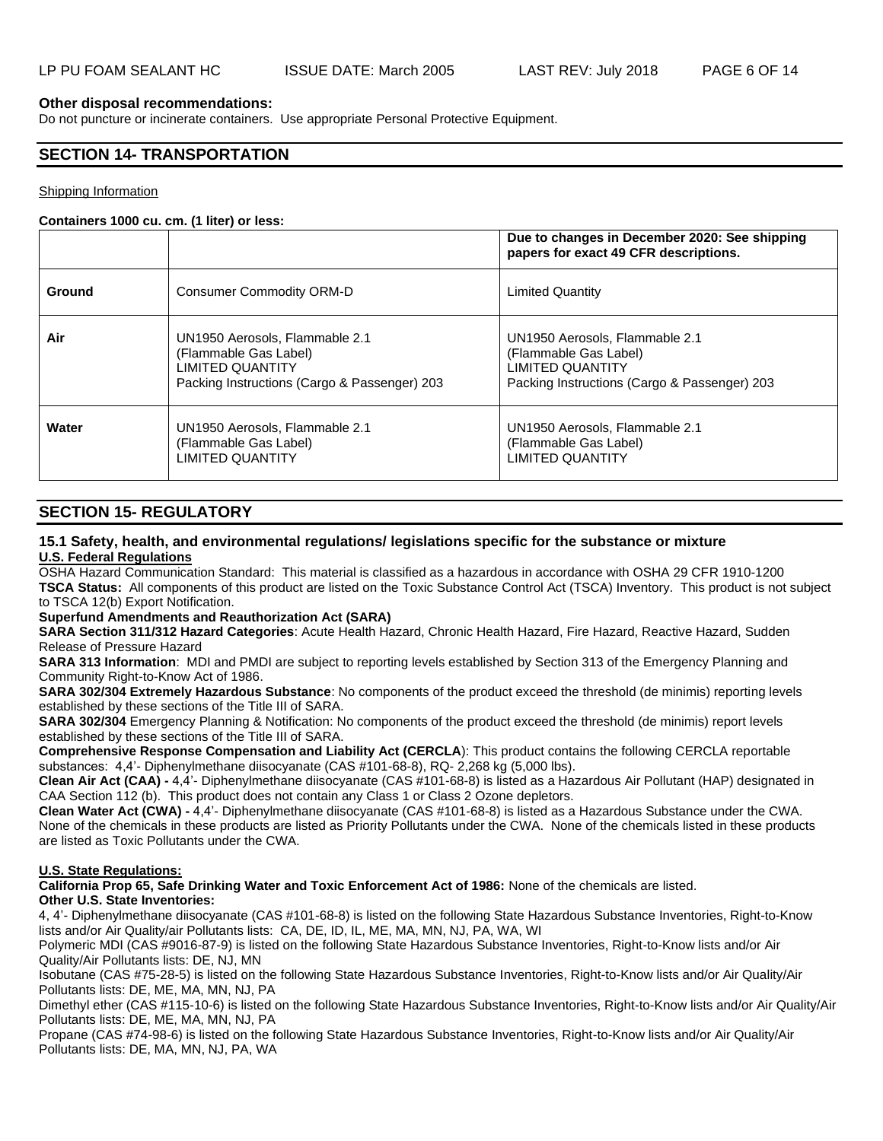## **Other disposal recommendations:**

Do not puncture or incinerate containers. Use appropriate Personal Protective Equipment.

# **SECTION 14- TRANSPORTATION**

#### Shipping Information

#### **Containers 1000 cu. cm. (1 liter) or less:**

|        |                                                                                                                                    | Due to changes in December 2020: See shipping<br>papers for exact 49 CFR descriptions.                                             |
|--------|------------------------------------------------------------------------------------------------------------------------------------|------------------------------------------------------------------------------------------------------------------------------------|
| Ground | Consumer Commodity ORM-D                                                                                                           | <b>Limited Quantity</b>                                                                                                            |
| Air    | UN1950 Aerosols, Flammable 2.1<br>(Flammable Gas Label)<br><b>LIMITED QUANTITY</b><br>Packing Instructions (Cargo & Passenger) 203 | UN1950 Aerosols, Flammable 2.1<br>(Flammable Gas Label)<br><b>LIMITED QUANTITY</b><br>Packing Instructions (Cargo & Passenger) 203 |
| Water  | UN1950 Aerosols, Flammable 2.1<br>(Flammable Gas Label)<br><b>LIMITED QUANTITY</b>                                                 | UN1950 Aerosols, Flammable 2.1<br>(Flammable Gas Label)<br><b>LIMITED QUANTITY</b>                                                 |

# **SECTION 15- REGULATORY**

### **15.1 Safety, health, and environmental regulations/ legislations specific for the substance or mixture U.S. Federal Regulations**

OSHA Hazard Communication Standard: This material is classified as a hazardous in accordance with OSHA 29 CFR 1910-1200 **TSCA Status:** All components of this product are listed on the Toxic Substance Control Act (TSCA) Inventory. This product is not subject to TSCA 12(b) Export Notification.

### **Superfund Amendments and Reauthorization Act (SARA)**

**SARA Section 311/312 Hazard Categories**: Acute Health Hazard, Chronic Health Hazard, Fire Hazard, Reactive Hazard, Sudden Release of Pressure Hazard

**SARA 313 Information**: MDI and PMDI are subject to reporting levels established by Section 313 of the Emergency Planning and Community Right-to-Know Act of 1986.

**SARA 302/304 Extremely Hazardous Substance**: No components of the product exceed the threshold (de minimis) reporting levels established by these sections of the Title III of SARA.

**SARA 302/304** Emergency Planning & Notification: No components of the product exceed the threshold (de minimis) report levels established by these sections of the Title III of SARA.

**Comprehensive Response Compensation and Liability Act (CERCLA**): This product contains the following CERCLA reportable substances: 4,4'- Diphenylmethane diisocyanate (CAS #101-68-8), RQ- 2,268 kg (5,000 lbs).

**Clean Air Act (CAA) -** 4,4'- Diphenylmethane diisocyanate (CAS #101-68-8) is listed as a Hazardous Air Pollutant (HAP) designated in CAA Section 112 (b). This product does not contain any Class 1 or Class 2 Ozone depletors.

**Clean Water Act (CWA) -** 4,4'- Diphenylmethane diisocyanate (CAS #101-68-8) is listed as a Hazardous Substance under the CWA. None of the chemicals in these products are listed as Priority Pollutants under the CWA. None of the chemicals listed in these products are listed as Toxic Pollutants under the CWA.

### **U.S. State Regulations:**

**California Prop 65, Safe Drinking Water and Toxic Enforcement Act of 1986:** None of the chemicals are listed. **Other U.S. State Inventories:** 

4, 4'- Diphenylmethane diisocyanate (CAS #101-68-8) is listed on the following State Hazardous Substance Inventories, Right-to-Know lists and/or Air Quality/air Pollutants lists: CA, DE, ID, IL, ME, MA, MN, NJ, PA, WA, WI

Polymeric MDI (CAS #9016-87-9) is listed on the following State Hazardous Substance Inventories, Right-to-Know lists and/or Air Quality/Air Pollutants lists: DE, NJ, MN

Isobutane (CAS #75-28-5) is listed on the following State Hazardous Substance Inventories, Right-to-Know lists and/or Air Quality/Air Pollutants lists: DE, ME, MA, MN, NJ, PA

Dimethyl ether (CAS #115-10-6) is listed on the following State Hazardous Substance Inventories, Right-to-Know lists and/or Air Quality/Air Pollutants lists: DE, ME, MA, MN, NJ, PA

Propane (CAS #74-98-6) is listed on the following State Hazardous Substance Inventories, Right-to-Know lists and/or Air Quality/Air Pollutants lists: DE, MA, MN, NJ, PA, WA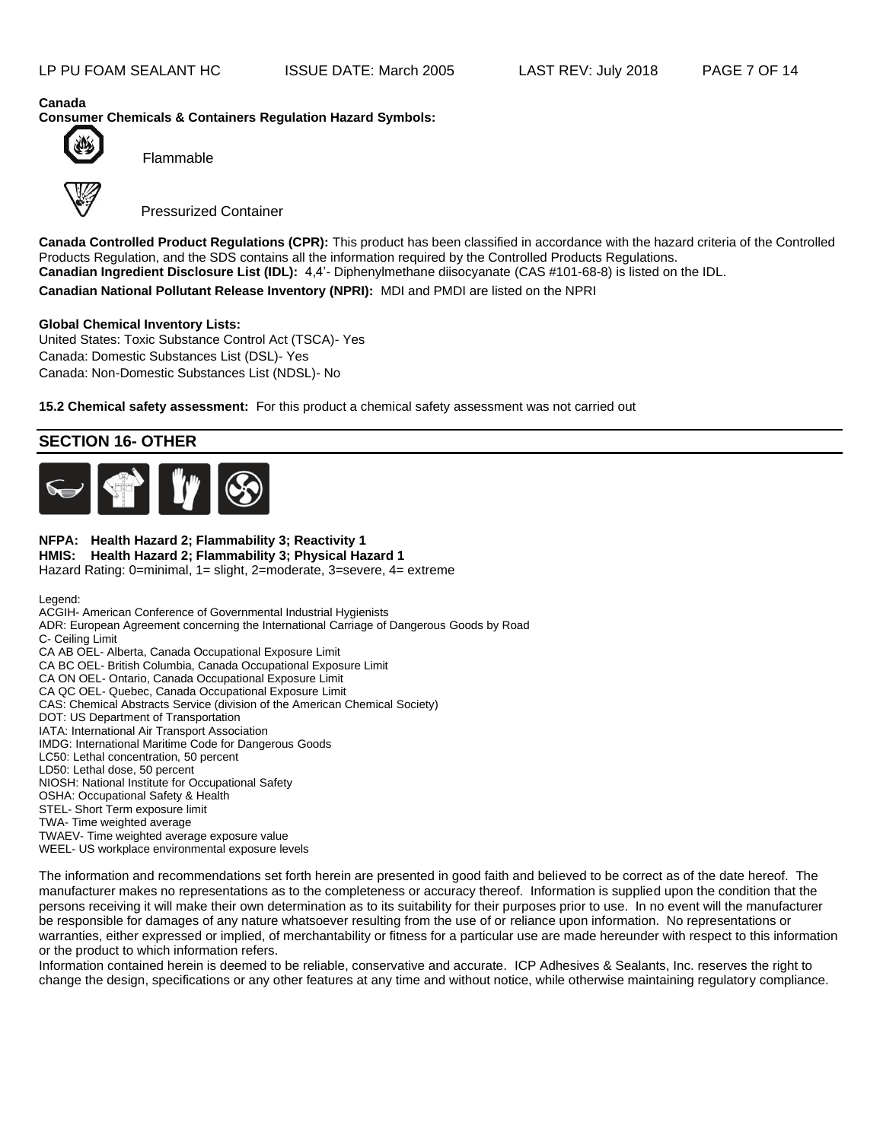**Canada Consumer Chemicals & Containers Regulation Hazard Symbols:**



Flammable

Pressurized Container

**Canada Controlled Product Regulations (CPR):** This product has been classified in accordance with the hazard criteria of the Controlled Products Regulation, and the SDS contains all the information required by the Controlled Products Regulations. **Canadian Ingredient Disclosure List (IDL):** 4,4'- Diphenylmethane diisocyanate (CAS #101-68-8) is listed on the IDL. **Canadian National Pollutant Release Inventory (NPRI):** MDI and PMDI are listed on the NPRI

### **Global Chemical Inventory Lists:**

United States: Toxic Substance Control Act (TSCA)- Yes Canada: Domestic Substances List (DSL)- Yes Canada: Non-Domestic Substances List (NDSL)- No

**15.2 Chemical safety assessment:** For this product a chemical safety assessment was not carried out

# **SECTION 16- OTHER**



#### **NFPA: Health Hazard 2; Flammability 3; Reactivity 1 HMIS: Health Hazard 2; Flammability 3; Physical Hazard 1** Hazard Rating: 0=minimal, 1= slight, 2=moderate, 3=severe, 4= extreme

Legend:

ACGIH- American Conference of Governmental Industrial Hygienists

ADR: European Agreement concerning the International Carriage of Dangerous Goods by Road C- Ceiling Limit

CA AB OEL- Alberta, Canada Occupational Exposure Limit

CA BC OEL- British Columbia, Canada Occupational Exposure Limit

CA ON OEL- Ontario, Canada Occupational Exposure Limit

CA QC OEL- Quebec, Canada Occupational Exposure Limit

CAS: Chemical Abstracts Service (division of the American Chemical Society)

DOT: US Department of Transportation

IATA: International Air Transport Association

IMDG: International Maritime Code for Dangerous Goods

LC50: Lethal concentration, 50 percent

LD50: Lethal dose, 50 percent NIOSH: National Institute for Occupational Safety

OSHA: Occupational Safety & Health

STEL- Short Term exposure limit

TWA- Time weighted average

TWAEV- Time weighted average exposure value

WEEL- US workplace environmental exposure levels

The information and recommendations set forth herein are presented in good faith and believed to be correct as of the date hereof. The manufacturer makes no representations as to the completeness or accuracy thereof. Information is supplied upon the condition that the persons receiving it will make their own determination as to its suitability for their purposes prior to use. In no event will the manufacturer be responsible for damages of any nature whatsoever resulting from the use of or reliance upon information. No representations or warranties, either expressed or implied, of merchantability or fitness for a particular use are made hereunder with respect to this information or the product to which information refers.

Information contained herein is deemed to be reliable, conservative and accurate. ICP Adhesives & Sealants, Inc. reserves the right to change the design, specifications or any other features at any time and without notice, while otherwise maintaining regulatory compliance.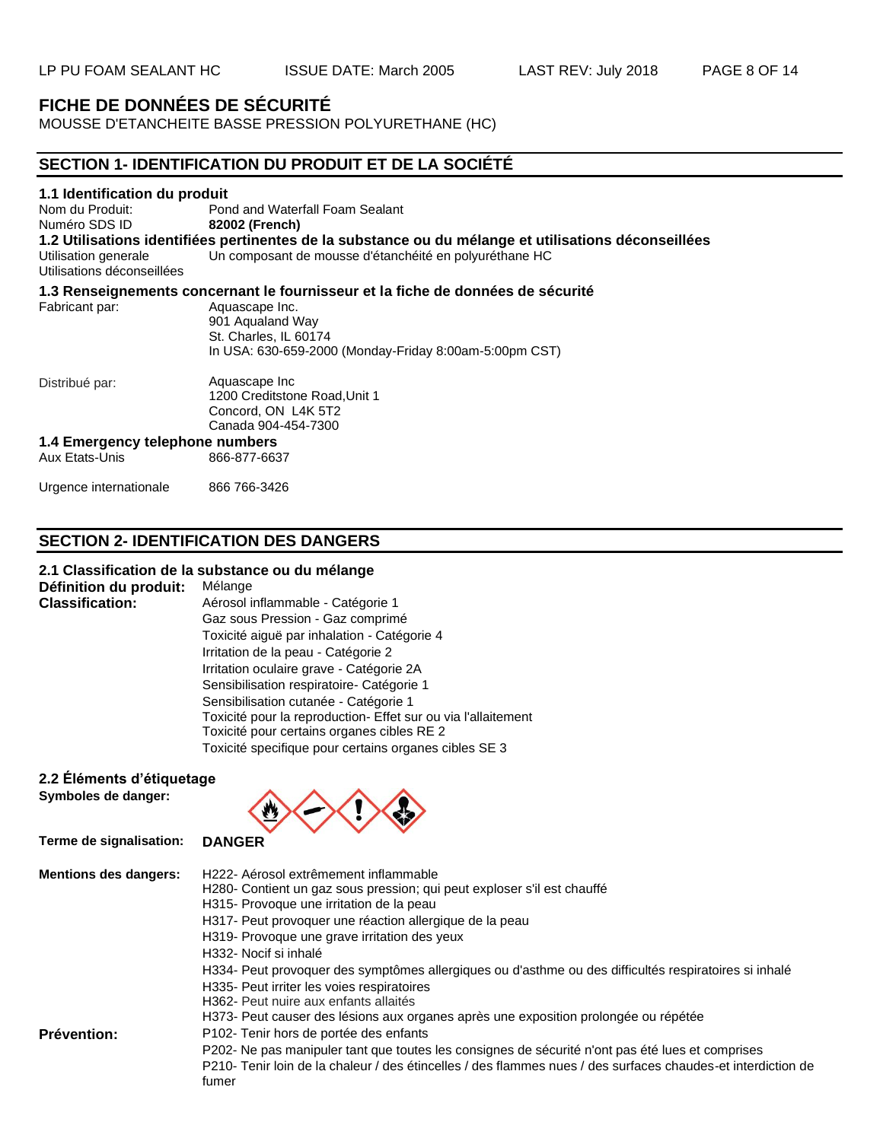# **FICHE DE DONNÉES DE SÉCURITÉ**

MOUSSE D'ETANCHEITE BASSE PRESSION POLYURETHANE (HC)

# **SECTION 1- IDENTIFICATION DU PRODUIT ET DE LA SOCIÉTÉ 1.1 Identification du produit** Nom du Produit: Pond and Waterfall Foam Sealant Numéro SDS ID **82002 (French) 1.2 Utilisations identifiées pertinentes de la substance ou du mélange et utilisations déconseillées** Un composant de mousse d'étanchéité en polyuréthane HC Utilisations déconseillées **1.3 Renseignements concernant le fournisseur et la fiche de données de sécurité** Fabricant par: Aquascape Inc. 901 Aqualand Way St. Charles, IL 60174 Distribué par: In USA: 630-659-2000 (Monday-Friday 8:00am-5:00pm CST) Aquascape Inc 1200 Creditstone Road,Unit 1 Concord, ON L4K 5T2 Canada 904-454-7300

#### **1.4 Emergency telephone numbers** 866-877-6637

| Aux Etats-Unis |
|----------------|
|----------------|

Urgence internationale 866 766-3426

# **SECTION 2- IDENTIFICATION DES DANGERS**

# **2.1 Classification de la substance ou du mélange**

**Définition du produit:** Mélange<br>**Classification:** Aérosol in

**Classification:** Aérosol inflammable - Catégorie 1 Gaz sous Pression - Gaz comprimé Toxicité aiguë par inhalation - Catégorie 4 Irritation de la peau - Catégorie 2 Irritation oculaire grave - Catégorie 2A Sensibilisation respiratoire- Catégorie 1 Sensibilisation cutanée - Catégorie 1 Toxicité pour la reproduction- Effet sur ou via l'allaitement Toxicité pour certains organes cibles RE 2 Toxicité specifique pour certains organes cibles SE 3

# **2.2 Éléments d'étiquetage**

**Symboles de danger:**



| <b>Mentions des dangers:</b> | H222- Aérosol extrêmement inflammable<br>H280- Contient un gaz sous pression; qui peut exploser s'il est chauffé<br>H315- Provoque une irritation de la peau<br>H317- Peut provoquer une réaction allergique de la peau<br>H319- Provoque une grave irritation des yeux<br>H332- Nocif si inhalé<br>H334- Peut provoquer des symptômes allergiques ou d'asthme ou des difficultés respiratoires si inhalé<br>H335- Peut irriter les voies respiratoires<br>H362- Peut nuire aux enfants allaités<br>H373- Peut causer des lésions aux organes après une exposition prolongée ou répétée |
|------------------------------|-----------------------------------------------------------------------------------------------------------------------------------------------------------------------------------------------------------------------------------------------------------------------------------------------------------------------------------------------------------------------------------------------------------------------------------------------------------------------------------------------------------------------------------------------------------------------------------------|
| <b>Prévention:</b>           | P102- Tenir hors de portée des enfants<br>P202- Ne pas manipuler tant que toutes les consignes de sécurité n'ont pas été lues et comprises<br>P210- Tenir loin de la chaleur / des étincelles / des flammes nues / des surfaces chaudes-et interdiction de<br>fumer                                                                                                                                                                                                                                                                                                                     |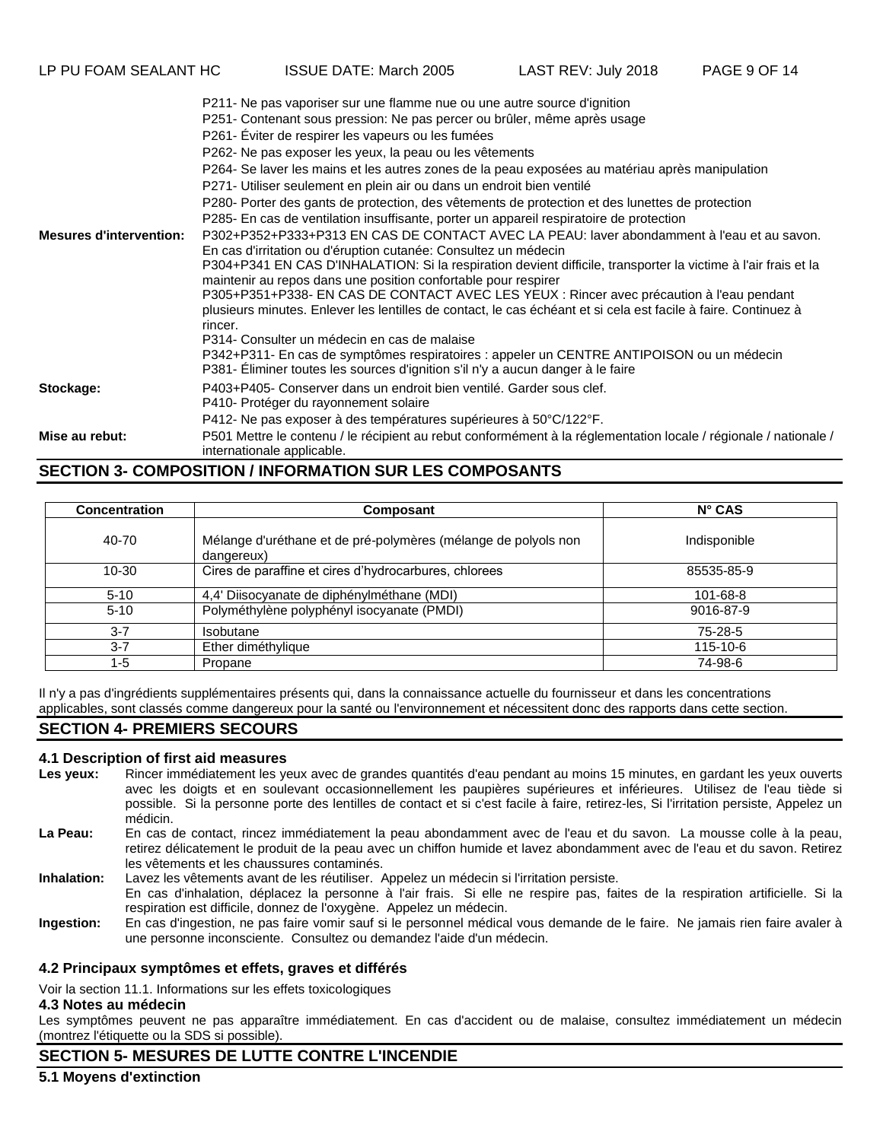- P264- Se laver les mains et les autres zones de la peau exposées au matériau après manipulation
- P271- Utiliser seulement en plein air ou dans un endroit bien ventilé
- P280- Porter des gants de protection, des vêtements de protection et des lunettes de protection
- P285- En cas de ventilation insuffisante, porter un appareil respiratoire de protection

**Mesures d'intervention:** P302+P352+P333+P313 EN CAS DE CONTACT AVEC LA PEAU: laver abondamment à l'eau et au savon. En cas d'irritation ou d'éruption cutanée: Consultez un médecin

P304+P341 EN CAS D'INHALATION: Si la respiration devient difficile, transporter la victime à l'air frais et la maintenir au repos dans une position confortable pour respirer P305+P351+P338- EN CAS DE CONTACT AVEC LES YEUX : Rincer avec précaution à l'eau pendant

- plusieurs minutes. Enlever les lentilles de contact, le cas échéant et si cela est facile à faire. Continuez à rincer.
	- P314- Consulter un médecin en cas de malaise
	- P342+P311- En cas de symptômes respiratoires : appeler un CENTRE ANTIPOISON ou un médecin P381- Éliminer toutes les sources d'ignition s'il n'y a aucun danger à le faire
- **Stockage:** P403+P405- Conserver dans un endroit bien ventilé. Garder sous clef.
	- P410- Protéger du rayonnement solaire
		- P412- Ne pas exposer à des températures supérieures à 50°C/122°F.

**Mise au rebut:** P501 Mettre le contenu / le récipient au rebut conformément à la réglementation locale / régionale / nationale / internationale applicable.

# **SECTION 3- COMPOSITION / INFORMATION SUR LES COMPOSANTS**

| <b>Concentration</b> | Composant                                                                    | $N^{\circ}$ CAS |
|----------------------|------------------------------------------------------------------------------|-----------------|
| 40-70                | Mélange d'uréthane et de pré-polymères (mélange de polyols non<br>dangereux) | Indisponible    |
| 10-30                | Cires de paraffine et cires d'hydrocarbures, chlorees                        | 85535-85-9      |
| $5-10$               | 4,4' Diisocyanate de diphénylméthane (MDI)                                   | 101-68-8        |
| $5 - 10$             | Polyméthylène polyphényl isocyanate (PMDI)                                   | 9016-87-9       |
| $3 - 7$              | Isobutane                                                                    | 75-28-5         |
| $3 - 7$              | Ether diméthylique                                                           | 115-10-6        |
| $1 - 5$              | Propane                                                                      | 74-98-6         |

Il n'y a pas d'ingrédients supplémentaires présents qui, dans la connaissance actuelle du fournisseur et dans les concentrations applicables, sont classés comme dangereux pour la santé ou l'environnement et nécessitent donc des rapports dans cette section.

# **SECTION 4- PREMIERS SECOURS**

#### **4.1 Description of first aid measures**

- Les yeux: Rincer immédiatement les yeux avec de grandes quantités d'eau pendant au moins 15 minutes, en gardant les yeux ouverts avec les doigts et en soulevant occasionnellement les paupières supérieures et inférieures. Utilisez de l'eau tiède si possible. Si la personne porte des lentilles de contact et si c'est facile à faire, retirez-les, Si l'irritation persiste, Appelez un médicin.
- **La Peau:** En cas de contact, rincez immédiatement la peau abondamment avec de l'eau et du savon. La mousse colle à la peau, retirez délicatement le produit de la peau avec un chiffon humide et lavez abondamment avec de l'eau et du savon. Retirez les vêtements et les chaussures contaminés.

**Inhalation:** Lavez les vêtements avant de les réutiliser. Appelez un médecin si l'irritation persiste. En cas d'inhalation, déplacez la personne à l'air frais. Si elle ne respire pas, faites de la respiration artificielle. Si la

- respiration est difficile, donnez de l'oxygène. Appelez un médecin.
- **Ingestion:** En cas d'ingestion, ne pas faire vomir sauf si le personnel médical vous demande de le faire. Ne jamais rien faire avaler à une personne inconsciente. Consultez ou demandez l'aide d'un médecin.

# **4.2 Principaux symptômes et effets, graves et différés**

Voir la section 11.1. Informations sur les effets toxicologiques

### **4.3 Notes au médecin**

Les symptômes peuvent ne pas apparaître immédiatement. En cas d'accident ou de malaise, consultez immédiatement un médecin (montrez l'étiquette ou la SDS si possible).

# **SECTION 5- MESURES DE LUTTE CONTRE L'INCENDIE**

**5.1 Moyens d'extinction**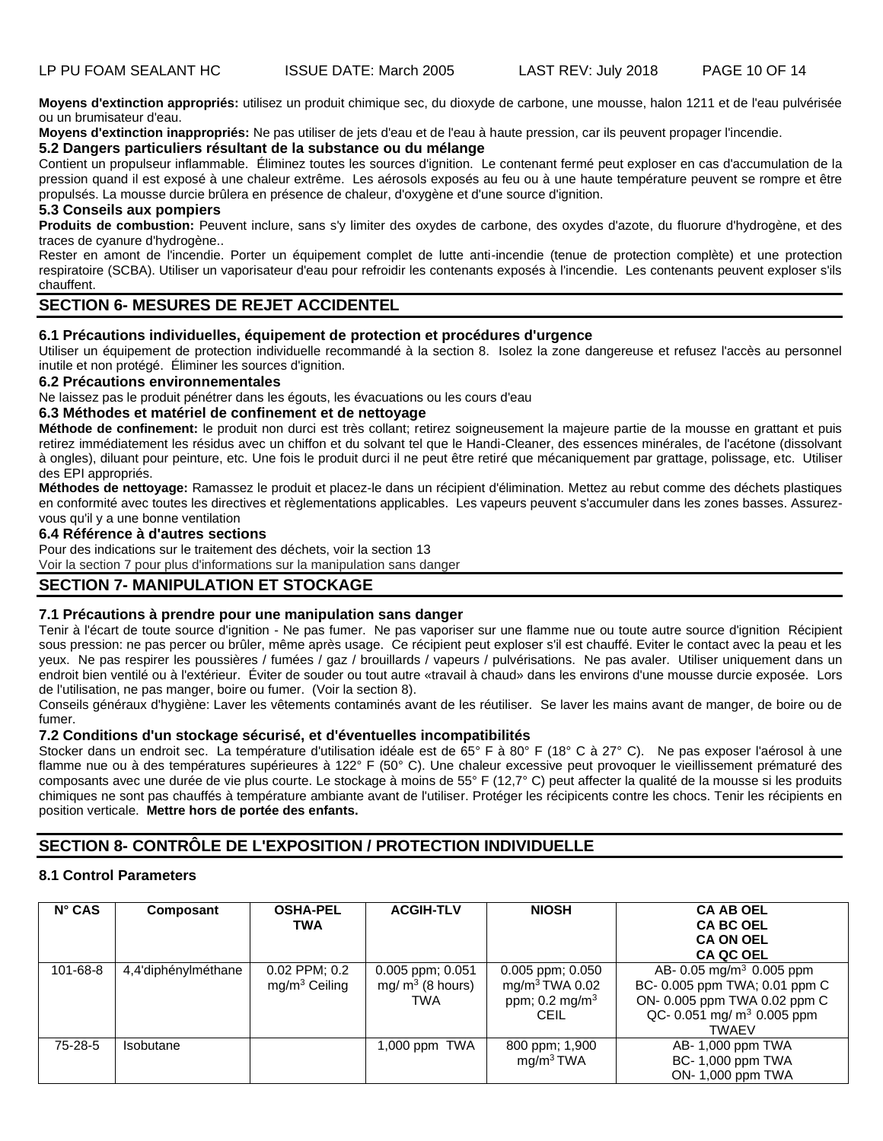**Moyens d'extinction appropriés:** utilisez un produit chimique sec, du dioxyde de carbone, une mousse, halon 1211 et de l'eau pulvérisée ou un brumisateur d'eau.

**Moyens d'extinction inappropriés:** Ne pas utiliser de jets d'eau et de l'eau à haute pression, car ils peuvent propager l'incendie.

### **5.2 Dangers particuliers résultant de la substance ou du mélange**

Contient un propulseur inflammable. Éliminez toutes les sources d'ignition. Le contenant fermé peut exploser en cas d'accumulation de la pression quand il est exposé à une chaleur extrême. Les aérosols exposés au feu ou à une haute température peuvent se rompre et être propulsés. La mousse durcie brûlera en présence de chaleur, d'oxygène et d'une source d'ignition.

# **5.3 Conseils aux pompiers**

**Produits de combustion:** Peuvent inclure, sans s'y limiter des oxydes de carbone, des oxydes d'azote, du fluorure d'hydrogène, et des traces de cyanure d'hydrogène..

Rester en amont de l'incendie. Porter un équipement complet de lutte anti-incendie (tenue de protection complète) et une protection respiratoire (SCBA). Utiliser un vaporisateur d'eau pour refroidir les contenants exposés à l'incendie. Les contenants peuvent exploser s'ils chauffent.

# **SECTION 6- MESURES DE REJET ACCIDENTEL**

### **6.1 Précautions individuelles, équipement de protection et procédures d'urgence**

Utiliser un équipement de protection individuelle recommandé à la section 8. Isolez la zone dangereuse et refusez l'accès au personnel inutile et non protégé. Éliminer les sources d'ignition.

# **6.2 Précautions environnementales**

Ne laissez pas le produit pénétrer dans les égouts, les évacuations ou les cours d'eau

# **6.3 Méthodes et matériel de confinement et de nettoyage**

Méthode de confinement: le produit non durci est très collant; retirez soigneusement la majeure partie de la mousse en grattant et puis retirez immédiatement les résidus avec un chiffon et du solvant tel que le Handi-Cleaner, des essences minérales, de l'acétone (dissolvant à ongles), diluant pour peinture, etc. Une fois le produit durci il ne peut être retiré que mécaniquement par grattage, polissage, etc. Utiliser des EPI appropriés.

**Méthodes de nettoyage:** Ramassez le produit et placez-le dans un récipient d'élimination. Mettez au rebut comme des déchets plastiques en conformité avec toutes les directives et règlementations applicables. Les vapeurs peuvent s'accumuler dans les zones basses. Assurezvous qu'il y a une bonne ventilation

### **6.4 Référence à d'autres sections**

Pour des indications sur le traitement des déchets, voir la section 13

Voir la section 7 pour plus d'informations sur la manipulation sans danger

# **SECTION 7- MANIPULATION ET STOCKAGE**

# **7.1 Précautions à prendre pour une manipulation sans danger**

Tenir à l'écart de toute source d'ignition - Ne pas fumer. Ne pas vaporiser sur une flamme nue ou toute autre source d'ignition Récipient sous pression: ne pas percer ou brûler, même après usage. Ce récipient peut exploser s'il est chauffé. Eviter le contact avec la peau et les yeux. Ne pas respirer les poussières / fumées / gaz / brouillards / vapeurs / pulvérisations. Ne pas avaler. Utiliser uniquement dans un endroit bien ventilé ou à l'extérieur. Éviter de souder ou tout autre «travail à chaud» dans les environs d'une mousse durcie exposée. Lors de l'utilisation, ne pas manger, boire ou fumer. (Voir la section 8).

Conseils généraux d'hygiène: Laver les vêtements contaminés avant de les réutiliser. Se laver les mains avant de manger, de boire ou de fumer.

### **7.2 Conditions d'un stockage sécurisé, et d'éventuelles incompatibilités**

Stocker dans un endroit sec. La température d'utilisation idéale est de 65° F à 80° F (18° C à 27° C). Ne pas exposer l'aérosol à une flamme nue ou à des températures supérieures à 122° F (50° C). Une chaleur excessive peut provoquer le vieillissement prématuré des composants avec une durée de vie plus courte. Le stockage à moins de 55° F (12,7° C) peut affecter la qualité de la mousse si les produits chimiques ne sont pas chauffés à température ambiante avant de l'utiliser. Protéger les récipicents contre les chocs. Tenir les récipients en position verticale. **Mettre hors de portée des enfants.**

# **SECTION 8- CONTRÔLE DE L'EXPOSITION / PROTECTION INDIVIDUELLE**

# **8.1 Control Parameters**

| $N^{\circ}$ CAS | Composant           | <b>OSHA-PEL</b><br><b>TWA</b>        | <b>ACGIH-TLV</b>                               | <b>NIOSH</b>                                                                               | <b>CA AB OEL</b><br><b>CA BC OEL</b><br><b>CA ON OEL</b><br><b>CA QC OEL</b>                                                                                    |
|-----------------|---------------------|--------------------------------------|------------------------------------------------|--------------------------------------------------------------------------------------------|-----------------------------------------------------------------------------------------------------------------------------------------------------------------|
| 101-68-8        | 4,4'diphénylméthane | $0.02$ PPM: $0.2$<br>$mg/m3$ Ceiling | 0.005 ppm; 0.051<br>mg/ $m^3$ (8 hours)<br>TWA | 0.005 ppm; 0.050<br>mg/m <sup>3</sup> TWA 0.02<br>ppm; $0.2 \text{ mg/m}^3$<br><b>CEIL</b> | AB- 0.05 mg/m <sup>3</sup> 0.005 ppm<br>BC- 0.005 ppm TWA; 0.01 ppm C<br>ON- 0.005 ppm TWA 0.02 ppm C<br>QC- 0.051 mg/ m <sup>3</sup> 0.005 ppm<br><b>TWAEV</b> |
| 75-28-5         | Isobutane           |                                      | 1,000 ppm $TWA$                                | 800 ppm; 1,900<br>mg/m <sup>3</sup> TWA                                                    | AB- 1,000 ppm TWA<br>BC- 1,000 ppm TWA<br>ON-1,000 ppm TWA                                                                                                      |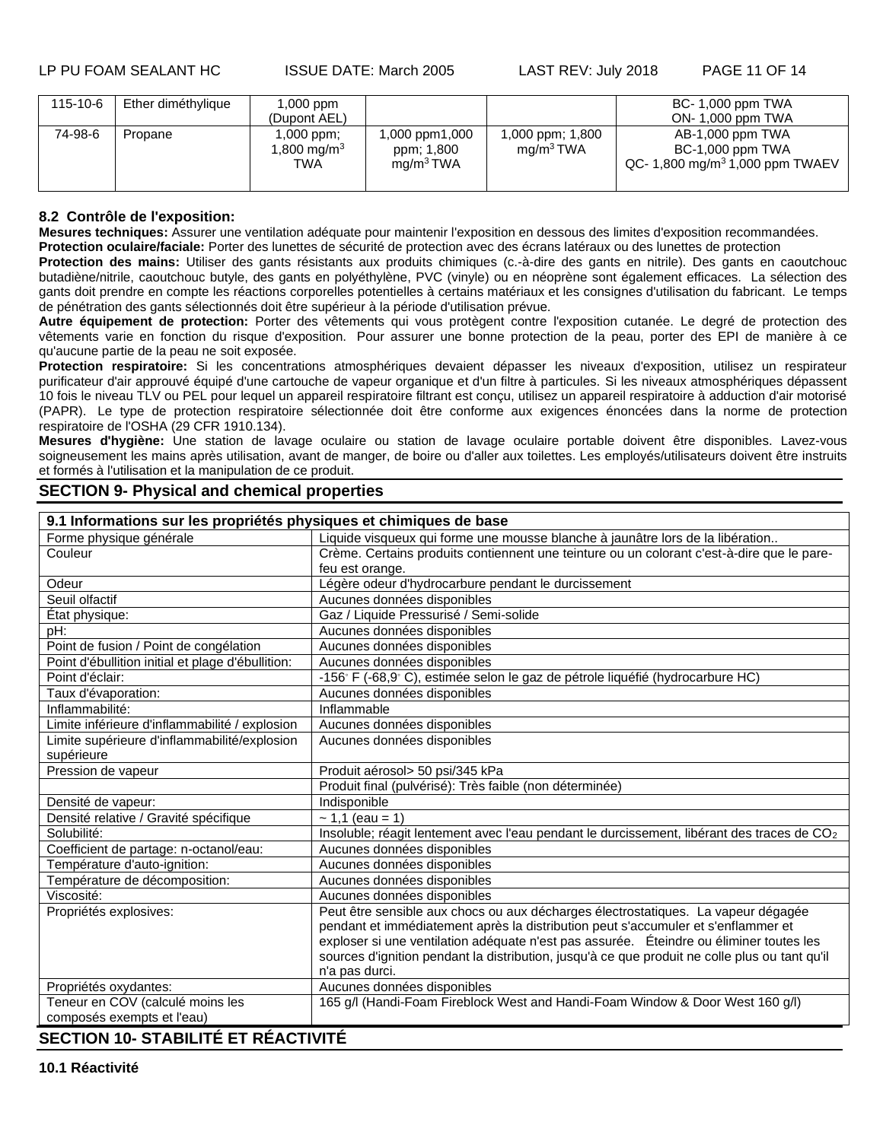LP PU FOAM SEALANT HC ISSUE DATE: March 2005 LAST REV: July 2018 PAGE 11 OF 14

| 115-10-6 | Ether diméthylique | 1,000 ppm<br>(Dupont AEL)                    |                                                       |                                           | BC- 1,000 ppm TWA<br>ON-1,000 ppm TWA                                               |
|----------|--------------------|----------------------------------------------|-------------------------------------------------------|-------------------------------------------|-------------------------------------------------------------------------------------|
| 74-98-6  | Propane            | 1,000 ppm;<br>1,800 mg/m <sup>3</sup><br>TWA | 1,000 ppm1,000<br>ppm; 1,800<br>mg/m <sup>3</sup> TWA | 1,000 ppm; 1,800<br>mg/m <sup>3</sup> TWA | AB-1,000 ppm TWA<br>BC-1,000 ppm TWA<br>QC- 1,800 mg/m <sup>3</sup> 1,000 ppm TWAEV |

## **8.2 Contrôle de l'exposition:**

**Mesures techniques:** Assurer une ventilation adéquate pour maintenir l'exposition en dessous des limites d'exposition recommandées.

**Protection oculaire/faciale:** Porter des lunettes de sécurité de protection avec des écrans latéraux ou des lunettes de protection

**Protection des mains:** Utiliser des gants résistants aux produits chimiques (c.-à-dire des gants en nitrile). Des gants en caoutchouc butadiène/nitrile, caoutchouc butyle, des gants en polyéthylène, PVC (vinyle) ou en néoprène sont également efficaces. La sélection des gants doit prendre en compte les réactions corporelles potentielles à certains matériaux et les consignes d'utilisation du fabricant. Le temps de pénétration des gants sélectionnés doit être supérieur à la période d'utilisation prévue.

**Autre équipement de protection:** Porter des vêtements qui vous protègent contre l'exposition cutanée. Le degré de protection des vêtements varie en fonction du risque d'exposition. Pour assurer une bonne protection de la peau, porter des EPI de manière à ce qu'aucune partie de la peau ne soit exposée.

Protection respiratoire: Si les concentrations atmosphériques devaient dépasser les niveaux d'exposition, utilisez un respirateur purificateur d'air approuvé équipé d'une cartouche de vapeur organique et d'un filtre à particules. Si les niveaux atmosphériques dépassent 10 fois le niveau TLV ou PEL pour lequel un appareil respiratoire filtrant est conçu, utilisez un appareil respiratoire à adduction d'air motorisé (PAPR). Le type de protection respiratoire sélectionnée doit être conforme aux exigences énoncées dans la norme de protection respiratoire de l'OSHA (29 CFR 1910.134).

**Mesures d'hygiène:** Une station de lavage oculaire ou station de lavage oculaire portable doivent être disponibles. Lavez-vous soigneusement les mains après utilisation, avant de manger, de boire ou d'aller aux toilettes. Les employés/utilisateurs doivent être instruits et formés à l'utilisation et la manipulation de ce produit.

# **SECTION 9- Physical and chemical properties**

**9.1 Informations sur les propriétés physiques et chimiques de base** Liquide visqueux qui forme une mousse blanche à jaunâtre lors de la libération.. Couleur couleur crème. Certains produits contiennent une teinture ou un colorant c'est-à-dire que le parefeu est orange. Odeur **Légère odeur d'hydrocarbure pendant le durcissement** | Légère odeur d'hydrocarbure pendant le durcissement Seuil olfactif Aucunes données disponibles État physique: Gaz / Liquide Pressurisé / Semi-solide pH: Aucunes données disponibles Point de fusion / Point de congélation | Aucunes données disponibles Point d'ébullition initial et plage d'ébullition: | Aucunes données disponibles Point d'éclair:  $-156° F (-68,9° C)$ , estimée selon le gaz de pétrole liquéfié (hydrocarbure HC)<br>Taux d'évaporation: Aucunes données disponibles Aucunes données disponibles<br>Inflammable Inflammabilité: Limite inférieure d'inflammabilité / explosion | Aucunes données disponibles Limite supérieure d'inflammabilité/explosion supérieure Aucunes données disponibles Pression de vapeur <br>
Produit aérosol> 50 psi/345 kPa Produit final (pulvérisé): Très faible (non déterminée) Densité de vapeur: Densité relative / Gravité spécifique  $\sim 1,1$  (eau = 1) Solubilité: Insoluble; réagit lentement avec l'eau pendant le durcissement, libérant des traces de CO<sub>2</sub> Coefficient de partage: n-octanol/eau: Aucunes données disponibles<br>
Température d'auto-ignition: Aucunes données disponibles Aucunes données disponibles Température de décomposition:<br>
Viscosité:<br>
Aucunes données disponibles Aucunes données disponibles Propriétés explosives: Peut être sensible aux chocs ou aux décharges électrostatiques. La vapeur dégagée pendant et immédiatement après la distribution peut s'accumuler et s'enflammer et exploser si une ventilation adéquate n'est pas assurée. Éteindre ou éliminer toutes les sources d'ignition pendant la distribution, jusqu'à ce que produit ne colle plus ou tant qu'il n'a pas durci. Propriétés oxydantes: <br>Aucunes données disponibles Teneur en COV (calculé moins les composés exempts et l'eau) 165 g/l (Handi-Foam Fireblock West and Handi-Foam Window & Door West 160 g/l)

# **SECTION 10- STABILITÉ ET RÉACTIVITÉ**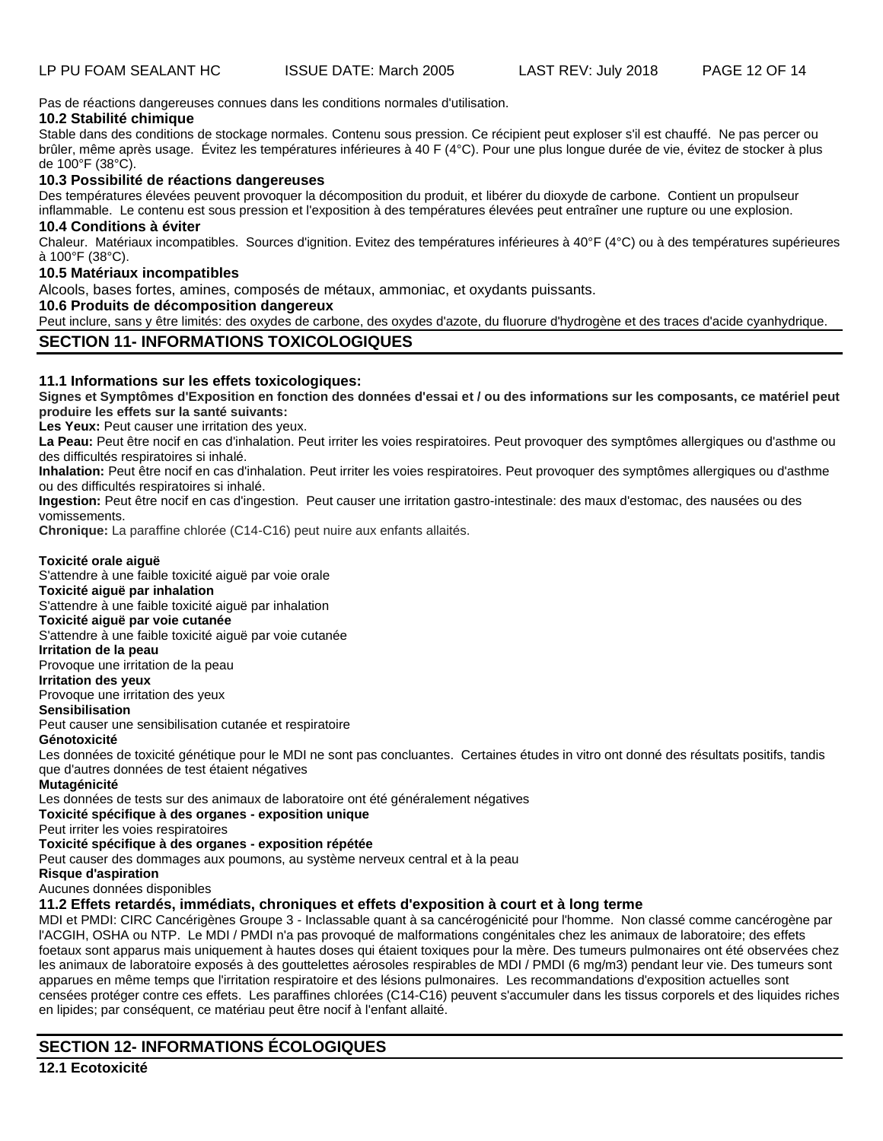Pas de réactions dangereuses connues dans les conditions normales d'utilisation.

## **10.2 Stabilité chimique**

Stable dans des conditions de stockage normales. Contenu sous pression. Ce récipient peut exploser s'il est chauffé. Ne pas percer ou brûler, même après usage. Évitez les températures inférieures à 40 F (4°C). Pour une plus longue durée de vie, évitez de stocker à plus de 100°F (38°C).

## **10.3 Possibilité de réactions dangereuses**

Des températures élevées peuvent provoquer la décomposition du produit, et libérer du dioxyde de carbone. Contient un propulseur inflammable. Le contenu est sous pression et l'exposition à des températures élevées peut entraîner une rupture ou une explosion.

# **10.4 Conditions à éviter**

Chaleur. Matériaux incompatibles. Sources d'ignition. Evitez des températures inférieures à 40°F (4°C) ou à des températures supérieures à 100°F (38°C).

### **10.5 Matériaux incompatibles**

Alcools, bases fortes, amines, composés de métaux, ammoniac, et oxydants puissants.

# **10.6 Produits de décomposition dangereux**

Peut inclure, sans y être limités: des oxydes de carbone, des oxydes d'azote, du fluorure d'hydrogène et des traces d'acide cyanhydrique.

# **SECTION 11- INFORMATIONS TOXICOLOGIQUES**

### **11.1 Informations sur les effets toxicologiques:**

**Signes et Symptômes d'Exposition en fonction des données d'essai et / ou des informations sur les composants, ce matériel peut produire les effets sur la santé suivants:**

Les Yeux: Peut causer une irritation des veux.

La Peau: Peut être nocif en cas d'inhalation. Peut irriter les voies respiratoires. Peut provoquer des symptômes allergiques ou d'asthme ou des difficultés respiratoires si inhalé.

**Inhalation:** Peut être nocif en cas d'inhalation. Peut irriter les voies respiratoires. Peut provoquer des symptômes allergiques ou d'asthme ou des difficultés respiratoires si inhalé.

**Ingestion:** Peut être nocif en cas d'ingestion. Peut causer une irritation gastro-intestinale: des maux d'estomac, des nausées ou des vomissements.

**Chronique:** La paraffine chlorée (C14-C16) peut nuire aux enfants allaités.

### **Toxicité orale aiguë**

S'attendre à une faible toxicité aiguë par voie orale

**Toxicité aiguë par inhalation**

S'attendre à une faible toxicité aiguë par inhalation

#### **Toxicité aiguë par voie cutanée**

S'attendre à une faible toxicité aiguë par voie cutanée

**Irritation de la peau**

Provoque une irritation de la peau

# **Irritation des yeux**

Provoque une irritation des yeux

**Sensibilisation**

Peut causer une sensibilisation cutanée et respiratoire

# **Génotoxicité**

Les données de toxicité génétique pour le MDI ne sont pas concluantes. Certaines études in vitro ont donné des résultats positifs, tandis que d'autres données de test étaient négatives

#### **Mutagénicité**

Les données de tests sur des animaux de laboratoire ont été généralement négatives

# **Toxicité spécifique à des organes - exposition unique**

Peut irriter les voies respiratoires

# **Toxicité spécifique à des organes - exposition répétée**

Peut causer des dommages aux poumons, au système nerveux central et à la peau

# **Risque d'aspiration**

Aucunes données disponibles

# **11.2 Effets retardés, immédiats, chroniques et effets d'exposition à court et à long terme**

MDI et PMDI: CIRC Cancérigènes Groupe 3 - Inclassable quant à sa cancérogénicité pour l'homme. Non classé comme cancérogène par l'ACGIH, OSHA ou NTP. Le MDI / PMDI n'a pas provoqué de malformations congénitales chez les animaux de laboratoire; des effets foetaux sont apparus mais uniquement à hautes doses qui étaient toxiques pour la mère. Des tumeurs pulmonaires ont été observées chez les animaux de laboratoire exposés à des gouttelettes aérosoles respirables de MDI / PMDI (6 mg/m3) pendant leur vie. Des tumeurs sont apparues en même temps que l'irritation respiratoire et des lésions pulmonaires. Les recommandations d'exposition actuelles sont censées protéger contre ces effets. Les paraffines chlorées (C14-C16) peuvent s'accumuler dans les tissus corporels et des liquides riches en lipides; par conséquent, ce matériau peut être nocif à l'enfant allaité.

# **SECTION 12- INFORMATIONS ÉCOLOGIQUES**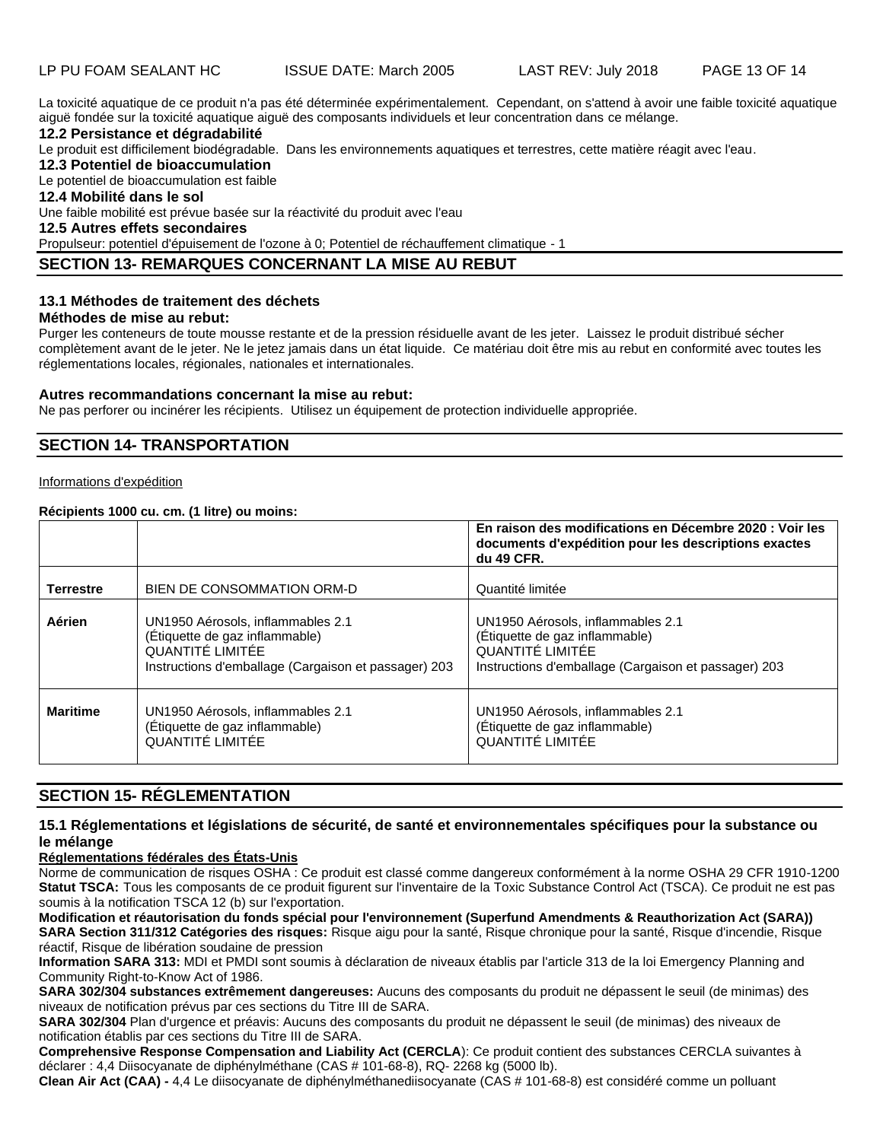LP PU FOAM SEALANT HC ISSUE DATE: March 2005 LAST REV: July 2018 PAGE 13 OF 14

La toxicité aquatique de ce produit n'a pas été déterminée expérimentalement. Cependant, on s'attend à avoir une faible toxicité aquatique aiguë fondée sur la toxicité aquatique aiguë des composants individuels et leur concentration dans ce mélange.

### **12.2 Persistance et dégradabilité**

Le produit est difficilement biodégradable. Dans les environnements aquatiques et terrestres, cette matière réagit avec l'eau.

**12.3 Potentiel de bioaccumulation**

Le potentiel de bioaccumulation est faible

**12.4 Mobilité dans le sol**

Une faible mobilité est prévue basée sur la réactivité du produit avec l'eau

# **12.5 Autres effets secondaires**

Propulseur: potentiel d'épuisement de l'ozone à 0; Potentiel de réchauffement climatique - 1

# **SECTION 13- REMARQUES CONCERNANT LA MISE AU REBUT**

### **13.1 Méthodes de traitement des déchets**

# **Méthodes de mise au rebut:**

Purger les conteneurs de toute mousse restante et de la pression résiduelle avant de les jeter. Laissez le produit distribué sécher complètement avant de le jeter. Ne le jetez jamais dans un état liquide. Ce matériau doit être mis au rebut en conformité avec toutes les réglementations locales, régionales, nationales et internationales.

#### **Autres recommandations concernant la mise au rebut:**

Ne pas perforer ou incinérer les récipients. Utilisez un équipement de protection individuelle appropriée.

# **SECTION 14- TRANSPORTATION**

#### Informations d'expédition

### **Récipients 1000 cu. cm. (1 litre) ou moins:**

|                  |                                                                                                                                                 | En raison des modifications en Décembre 2020 : Voir les<br>documents d'expédition pour les descriptions exactes<br>du 49 CFR.                   |
|------------------|-------------------------------------------------------------------------------------------------------------------------------------------------|-------------------------------------------------------------------------------------------------------------------------------------------------|
| <b>Terrestre</b> | BIEN DE CONSOMMATION ORM-D                                                                                                                      | Quantité limitée                                                                                                                                |
| Aérien           | UN1950 Aérosols, inflammables 2.1<br>(Étiquette de gaz inflammable)<br>QUANTITÉ LIMITÉE<br>Instructions d'emballage (Cargaison et passager) 203 | UN1950 Aérosols, inflammables 2.1<br>(Étiquette de gaz inflammable)<br>QUANTITÉ LIMITÉE<br>Instructions d'emballage (Cargaison et passager) 203 |
| <b>Maritime</b>  | UN1950 Aérosols, inflammables 2.1<br>(Étiquette de gaz inflammable)<br>QUANTITÉ LIMITÉE                                                         | UN1950 Aérosols, inflammables 2.1<br>(Étiquette de gaz inflammable)<br>QUANTITÉ LIMITÉE                                                         |

# **SECTION 15- RÉGLEMENTATION**

### **15.1 Réglementations et législations de sécurité, de santé et environnementales spécifiques pour la substance ou le mélange**

# **Réglementations fédérales des États-Unis**

Norme de communication de risques OSHA : Ce produit est classé comme dangereux conformément à la norme OSHA 29 CFR 1910-1200 **Statut TSCA:** Tous les composants de ce produit figurent sur l'inventaire de la Toxic Substance Control Act (TSCA). Ce produit ne est pas soumis à la notification TSCA 12 (b) sur l'exportation.

**Modification et réautorisation du fonds spécial pour l'environnement (Superfund Amendments & Reauthorization Act (SARA)) SARA Section 311/312 Catégories des risques:** Risque aigu pour la santé, Risque chronique pour la santé, Risque d'incendie, Risque réactif, Risque de libération soudaine de pression

**Information SARA 313:** MDI et PMDI sont soumis à déclaration de niveaux établis par l'article 313 de la loi Emergency Planning and Community Right-to-Know Act of 1986.

**SARA 302/304 substances extrêmement dangereuses:** Aucuns des composants du produit ne dépassent le seuil (de minimas) des niveaux de notification prévus par ces sections du Titre III de SARA.

**SARA 302/304** Plan d'urgence et préavis: Aucuns des composants du produit ne dépassent le seuil (de minimas) des niveaux de notification établis par ces sections du Titre III de SARA.

**Comprehensive Response Compensation and Liability Act (CERCLA**): Ce produit contient des substances CERCLA suivantes à déclarer : 4,4 Diisocyanate de diphénylméthane (CAS # 101-68-8), RQ- 2268 kg (5000 lb).

**Clean Air Act (CAA) -** 4,4 Le diisocyanate de diphénylméthanediisocyanate (CAS # 101-68-8) est considéré comme un polluant